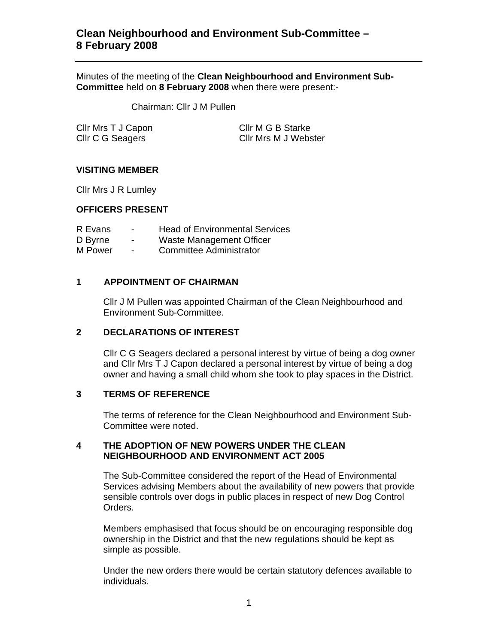# **Clean Neighbourhood and Environment Sub-Committee – 8 February 2008**

Minutes of the meeting of the **Clean Neighbourhood and Environment Sub-Committee** held on **8 February 2008** when there were present:-

Chairman: Cllr J M Pullen

| Cllr Mrs T J Capon |  |
|--------------------|--|
| Cllr C G Seagers   |  |

Cllr M G B Starke Cllr Mrs M J Webster

# **VISITING MEMBER**

Cllr Mrs J R Lumley

### **OFFICERS PRESENT**

- R Evans Head of Environmental Services D Byrne - Waste Management Officer
- M Power Committee Administrator

# **1 APPOINTMENT OF CHAIRMAN**

Cllr J M Pullen was appointed Chairman of the Clean Neighbourhood and Environment Sub-Committee.

# **2 DECLARATIONS OF INTEREST**

Cllr C G Seagers declared a personal interest by virtue of being a dog owner and Cllr Mrs T J Capon declared a personal interest by virtue of being a dog owner and having a small child whom she took to play spaces in the District.

# **3 TERMS OF REFERENCE**

The terms of reference for the Clean Neighbourhood and Environment Sub-Committee were noted.

### **4 THE ADOPTION OF NEW POWERS UNDER THE CLEAN NEIGHBOURHOOD AND ENVIRONMENT ACT 2005**

The Sub-Committee considered the report of the Head of Environmental Services advising Members about the availability of new powers that provide sensible controls over dogs in public places in respect of new Dog Control Orders.

Members emphasised that focus should be on encouraging responsible dog ownership in the District and that the new regulations should be kept as simple as possible.

Under the new orders there would be certain statutory defences available to individuals.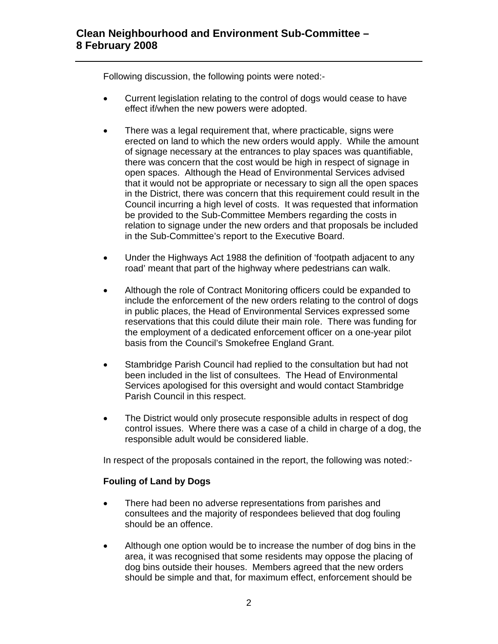Following discussion, the following points were noted:-

- Current legislation relating to the control of dogs would cease to have effect if/when the new powers were adopted.
- There was a legal requirement that, where practicable, signs were erected on land to which the new orders would apply. While the amount of signage necessary at the entrances to play spaces was quantifiable, there was concern that the cost would be high in respect of signage in open spaces. Although the Head of Environmental Services advised that it would not be appropriate or necessary to sign all the open spaces in the District, there was concern that this requirement could result in the Council incurring a high level of costs. It was requested that information be provided to the Sub-Committee Members regarding the costs in relation to signage under the new orders and that proposals be included in the Sub-Committee's report to the Executive Board.
- Under the Highways Act 1988 the definition of 'footpath adjacent to any road' meant that part of the highway where pedestrians can walk.
- Although the role of Contract Monitoring officers could be expanded to include the enforcement of the new orders relating to the control of dogs in public places, the Head of Environmental Services expressed some reservations that this could dilute their main role. There was funding for the employment of a dedicated enforcement officer on a one-year pilot basis from the Council's Smokefree England Grant.
- Stambridge Parish Council had replied to the consultation but had not been included in the list of consultees. The Head of Environmental Services apologised for this oversight and would contact Stambridge Parish Council in this respect.
- The District would only prosecute responsible adults in respect of dog control issues. Where there was a case of a child in charge of a dog, the responsible adult would be considered liable.

In respect of the proposals contained in the report, the following was noted:-

# **Fouling of Land by Dogs**

- There had been no adverse representations from parishes and consultees and the majority of respondees believed that dog fouling should be an offence.
- Although one option would be to increase the number of dog bins in the area, it was recognised that some residents may oppose the placing of dog bins outside their houses. Members agreed that the new orders should be simple and that, for maximum effect, enforcement should be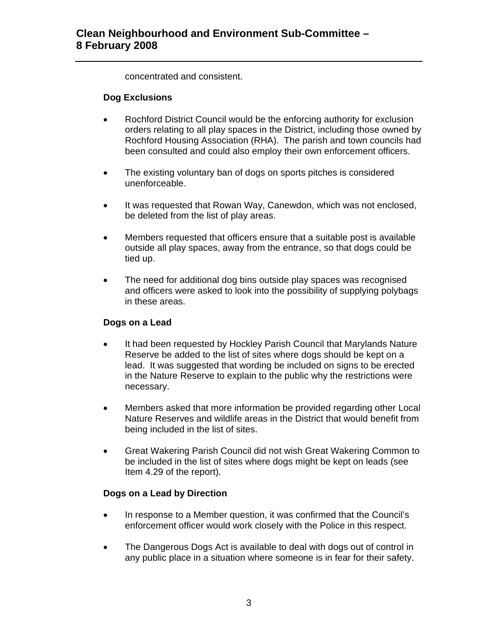concentrated and consistent.

### **Dog Exclusions**

- Rochford District Council would be the enforcing authority for exclusion orders relating to all play spaces in the District, including those owned by Rochford Housing Association (RHA). The parish and town councils had been consulted and could also employ their own enforcement officers.
- The existing voluntary ban of dogs on sports pitches is considered unenforceable.
- It was requested that Rowan Way, Canewdon, which was not enclosed, be deleted from the list of play areas.
- Members requested that officers ensure that a suitable post is available outside all play spaces, away from the entrance, so that dogs could be tied up.
- The need for additional dog bins outside play spaces was recognised and officers were asked to look into the possibility of supplying polybags in these areas.

# **Dogs on a Lead**

- It had been requested by Hockley Parish Council that Marylands Nature Reserve be added to the list of sites where dogs should be kept on a lead. It was suggested that wording be included on signs to be erected in the Nature Reserve to explain to the public why the restrictions were necessary.
- Members asked that more information be provided regarding other Local Nature Reserves and wildlife areas in the District that would benefit from being included in the list of sites.
- Great Wakering Parish Council did not wish Great Wakering Common to be included in the list of sites where dogs might be kept on leads (see Item 4.29 of the report).

# **Dogs on a Lead by Direction**

- In response to a Member question, it was confirmed that the Council's enforcement officer would work closely with the Police in this respect.
- The Dangerous Dogs Act is available to deal with dogs out of control in any public place in a situation where someone is in fear for their safety.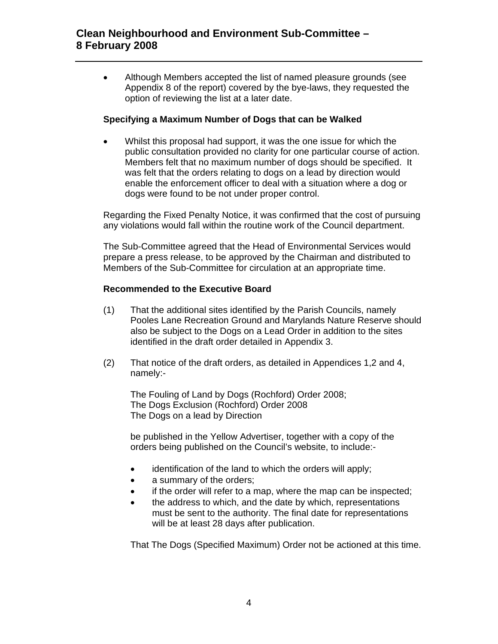• Although Members accepted the list of named pleasure grounds (see Appendix 8 of the report) covered by the bye-laws, they requested the option of reviewing the list at a later date.

# **Specifying a Maximum Number of Dogs that can be Walked**

Whilst this proposal had support, it was the one issue for which the public consultation provided no clarity for one particular course of action. Members felt that no maximum number of dogs should be specified. It was felt that the orders relating to dogs on a lead by direction would enable the enforcement officer to deal with a situation where a dog or dogs were found to be not under proper control.

Regarding the Fixed Penalty Notice, it was confirmed that the cost of pursuing any violations would fall within the routine work of the Council department.

The Sub-Committee agreed that the Head of Environmental Services would prepare a press release, to be approved by the Chairman and distributed to Members of the Sub-Committee for circulation at an appropriate time.

# **Recommended to the Executive Board**

- (1) That the additional sites identified by the Parish Councils, namely Pooles Lane Recreation Ground and Marylands Nature Reserve should also be subject to the Dogs on a Lead Order in addition to the sites identified in the draft order detailed in Appendix 3.
- (2) That notice of the draft orders, as detailed in Appendices 1,2 and 4, namely:-

The Fouling of Land by Dogs (Rochford) Order 2008; The Dogs Exclusion (Rochford) Order 2008 The Dogs on a lead by Direction

be published in the Yellow Advertiser, together with a copy of the orders being published on the Council's website, to include:-

- identification of the land to which the orders will apply;
- a summary of the orders;
- if the order will refer to a map, where the map can be inspected;
- the address to which, and the date by which, representations must be sent to the authority. The final date for representations will be at least 28 days after publication.

That The Dogs (Specified Maximum) Order not be actioned at this time.